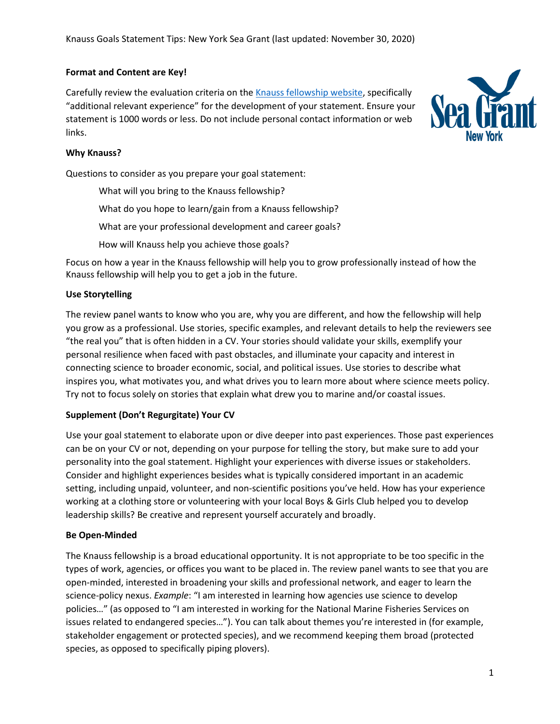# **Format and Content are Key!**

Carefully review the evaluation criteria on th[e Knauss fellowship website,](https://seagrant.noaa.gov/insideseagrant/Knauss-Fellowship/Prospective-Fellows) specifically "additional relevant experience" for the development of your statement. Ensure your statement is 1000 words or less. Do not include personal contact information or web links.



# **Why Knauss?**

Questions to consider as you prepare your goal statement:

What will you bring to the Knauss fellowship? What do you hope to learn/gain from a Knauss fellowship? What are your professional development and career goals? How will Knauss help you achieve those goals?

Focus on how a year in the Knauss fellowship will help you to grow professionally instead of how the Knauss fellowship will help you to get a job in the future.

# **Use Storytelling**

The review panel wants to know who you are, why you are different, and how the fellowship will help you grow as a professional. Use stories, specific examples, and relevant details to help the reviewers see "the real you" that is often hidden in a CV. Your stories should validate your skills, exemplify your personal resilience when faced with past obstacles, and illuminate your capacity and interest in connecting science to broader economic, social, and political issues. Use stories to describe what inspires you, what motivates you, and what drives you to learn more about where science meets policy. Try not to focus solely on stories that explain what drew you to marine and/or coastal issues.

#### **Supplement (Don't Regurgitate) Your CV**

Use your goal statement to elaborate upon or dive deeper into past experiences. Those past experiences can be on your CV or not, depending on your purpose for telling the story, but make sure to add your personality into the goal statement. Highlight your experiences with diverse issues or stakeholders. Consider and highlight experiences besides what is typically considered important in an academic setting, including unpaid, volunteer, and non-scientific positions you've held. How has your experience working at a clothing store or volunteering with your local Boys & Girls Club helped you to develop leadership skills? Be creative and represent yourself accurately and broadly.

#### **Be Open-Minded**

The Knauss fellowship is a broad educational opportunity. It is not appropriate to be too specific in the types of work, agencies, or offices you want to be placed in. The review panel wants to see that you are open-minded, interested in broadening your skills and professional network, and eager to learn the science-policy nexus. *Example*: "I am interested in learning how agencies use science to develop policies…" (as opposed to "I am interested in working for the National Marine Fisheries Services on issues related to endangered species…"). You can talk about themes you're interested in (for example, stakeholder engagement or protected species), and we recommend keeping them broad (protected species, as opposed to specifically piping plovers).